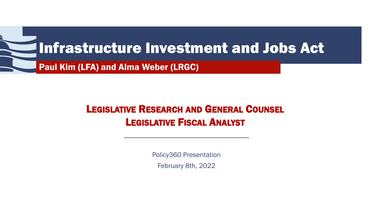

### LEGISLATIVE RESEARCH AND GENERAL COUNSEL LEGISLATIVE FISCAL ANALYST

Policy360 Presentation February 8th, 2022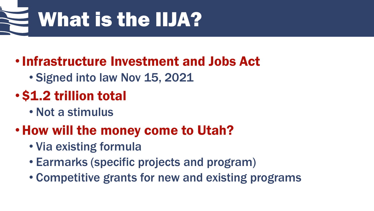

## •Infrastructure Investment and Jobs Act

• Signed into law Nov 15, 2021

## • \$1.2 trillion total

• Not a stimulus

## •How will the money come to Utah?

- Via existing formula
- Earmarks (specific projects and program)
- Competitive grants for new and existing programs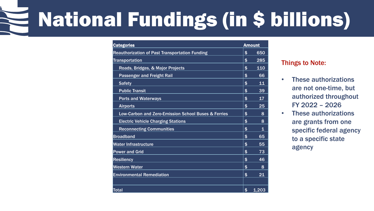# National Fundings (in \$ billions)

| <b>Categories</b>                                     | <b>Amount</b>     |
|-------------------------------------------------------|-------------------|
| <b>Reauthorization of Past Transportation Funding</b> | \$<br>650         |
| <b>Transportation</b>                                 | \$<br>285         |
| Roads, Bridges, & Major Projects                      | \$<br>110         |
| <b>Passenger and Freight Rail</b>                     | \$<br>66          |
| <b>Safety</b>                                         | \$<br>11          |
| <b>Public Transit</b>                                 | \$<br>39          |
| <b>Ports and Waterways</b>                            | \$<br>17          |
| <b>Airports</b>                                       | \$<br>25          |
| Low-Carbon and Zero-Emission School Buses & Ferries   | \$<br>8           |
| <b>Electric Vehicle Charging Stations</b>             | \$<br>8           |
| <b>Reconnecting Communities</b>                       | \$<br>$\mathbf 1$ |
| <b>Broadband</b>                                      | \$<br>65          |
| Water Infrastructure                                  | \$<br>55          |
| <b>Power and Grid</b>                                 | \$<br>73          |
| <b>Resiliency</b>                                     | \$<br>46          |
| <b>Western Water</b>                                  | \$<br>8           |
| <b>Environmental Remediation</b>                      | \$<br>21          |
|                                                       |                   |
| Total                                                 | \$<br>1,203       |

#### Things to Note:

- These authorizations are not one-time, but authorized throughout FY 2022 – 2026
- These authorizations are grants from one specific federal agency to a specific state agency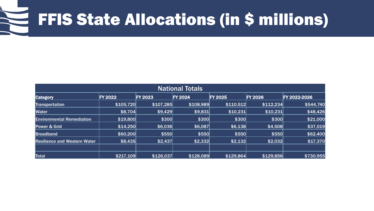## FFIS State Allocations (in \$ millions)

| <b>National Totals</b>              |                |                |                |                |                |              |
|-------------------------------------|----------------|----------------|----------------|----------------|----------------|--------------|
| <b>Category</b>                     | <b>FY 2022</b> | <b>FY 2023</b> | <b>FY 2024</b> | <b>FY 2025</b> | <b>FY 2026</b> | FY 2022-2026 |
| <b>Transportation</b>               | \$105,720      | \$107,285      | \$108,989      | \$110,512      | \$112,234      | \$544,740    |
| <b>Water</b>                        | \$8,704        | \$9,429        | \$9,831        | \$10,231       | \$10,231       | \$48,426     |
| <b>Environmental Remediation</b>    | \$19,800       | \$300          | \$300          | \$300          | \$300          | \$21,000     |
| Power & Grid                        | \$14,250       | \$6,036        | \$6,087        | \$6,138        | \$4,508        | \$37,019     |
| <b>Broadband</b>                    | \$60,200       | \$550          | \$550          | \$550          | \$550          | \$62,400     |
| <b>Resilience and Western Water</b> | \$8,435        | \$2,437        | \$2,332        | \$2,132        | \$2,032        | \$17,370     |
|                                     |                |                |                |                |                |              |
| Total                               | \$217,109      | \$126,037      | \$128,089      | \$129,864      | \$129,856      | \$730,955    |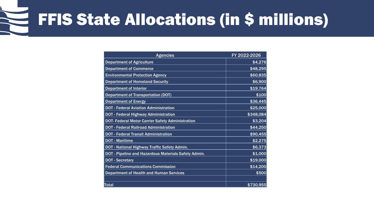## FFIS State Allocations (in \$ millions)

| <b>Agencies</b>                                         | FY 2022-2026 |
|---------------------------------------------------------|--------------|
| <b>Department of Agriculture</b>                        | \$4,276      |
| <b>Department of Commerce</b>                           | \$48,295     |
| <b>Environmental Protection Agency</b>                  | \$60,835     |
| <b>Department of Homeland Security</b>                  | \$6,900      |
| <b>Department of Interior</b>                           | \$19,764     |
| <b>Department of Transportation (DOT)</b>               | \$100        |
| <b>Department of Energy</b>                             | \$36,445     |
| <b>DOT - Federal Aviation Administration</b>            | \$25,000     |
| <b>DOT - Federal Highway Administration</b>             | \$348,084    |
| <b>DOT- Federal Motor Carrier Safety Administration</b> | \$3,204      |
| <b>DOT - Federal Railroad Administration</b>            | \$44,250     |
| <b>DOT - Federal Transit Administration</b>             | \$90,455     |
| <b>DOT - Maritime</b>                                   | \$2,275      |
| DOT - National Highway Traffic Safety Admin.            | \$6,373      |
| DOT - Pipeline and Hazardous Materials Safety Admin.    | \$1,000      |
| <b>DOT - Secretary</b>                                  | \$19,000     |
| <b>Federal Communications Commission</b>                | \$14,200     |
| <b>Department of Health and Human Services</b>          | \$500        |
|                                                         |              |
| Total                                                   | \$730,955    |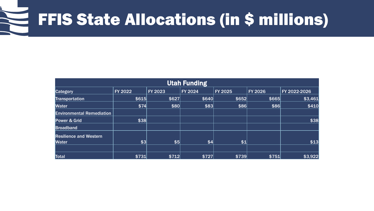#### FFIS State Allocations (in \$ millions)

| <b>Utah Funding</b>              |                |                |                |                |                |              |  |
|----------------------------------|----------------|----------------|----------------|----------------|----------------|--------------|--|
| <b>Category</b>                  | <b>FY 2022</b> | <b>FY 2023</b> | <b>FY 2024</b> | <b>FY 2025</b> | <b>FY 2026</b> | FY 2022-2026 |  |
| <b>Transportation</b>            | \$615          | \$627          | \$640          | \$652          | \$665          | \$3,461      |  |
| <b>Water</b>                     | \$74]          | \$80           | \$83           | \$86           | \$86           | \$410        |  |
| <b>Environmental Remediation</b> |                |                |                |                |                |              |  |
| <b>Power &amp; Grid</b>          | \$38           |                |                |                |                | \$38         |  |
| <b>Broadband</b>                 |                |                |                |                |                |              |  |
| <b>Resilience and Western</b>    |                |                |                |                |                |              |  |
| <b>Water</b>                     | \$3            | \$5            | 4              | \$1            |                | \$13         |  |
|                                  |                |                |                |                |                |              |  |
| Total                            | \$731          | \$712          | \$727          | \$739          | \$751          | \$3,922      |  |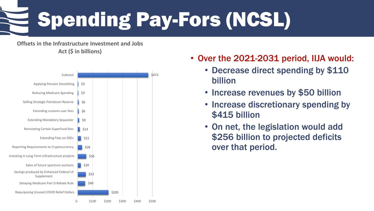# Spending Pay-Fors (NCSL)

**Offsets in the Infrastructure Investment and Jobs Act (\$ in billions)**



- Over the 2021-2031 period, IIJA would:
	- Decrease direct spending by \$110 billion
	- Increase revenues by \$50 billion
	- Increase discretionary spending by \$415 billion
	- On net, the legislation would add \$256 billion to projected deficits over that period.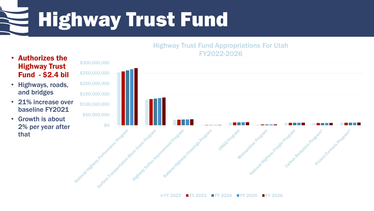Highway Trust Fund

#### Highway Trust Fund Appropriations For Utah FY2022-2026

- Authorizes the Highway Trust Fund - \$2.4 bil
- Highways, roads, and bridges
- 21% increase over baseline FY2021
- Growth is about that



 $FY 2022$  FY 2023 FY 2024 FY 2025 FY 2026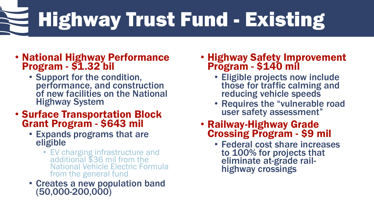# Highway Trust Fund - Existing

#### • National Highway Performance Program - \$1.32 bil

• Support for the condition, performance, and construction of new facilities on the National Highway System

#### • Surface Transportation Block Grant Program - \$643 mil

- Expands programs that are eligible
	- EV charging infrastructure and additional \$36 mil from the National Vehicle Electric Formula from the general fund
- Creates a new population band (50,000-200,000)

#### • Highway Safety Improvement Program - \$140 mil

- Eligible projects now include those for traffic calming and reducing vehicle speeds
- Requires the "vulnerable road user safety assessment"

## • Railway-Highway Grade<br>Crossing Program - \$9 mil

• Federal cost share increases to 100% for projects that eliminate at-grade rail- highway crossings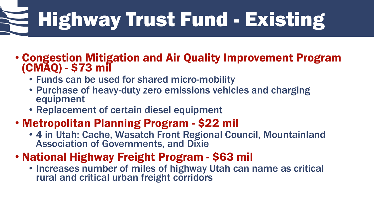# Highway Trust Fund - Existing

### • Congestion Mitigation and Air Quality Improvement Program (CMAQ) - \$73 mil

- Funds can be used for shared micro-mobility
- Purchase of heavy-duty zero emissions vehicles and charging equipment
- Replacement of certain diesel equipment

### • Metropolitan Planning Program - \$22 mil

- 4 in Utah: Cache, Wasatch Front Regional Council, Mountainland Association of Governments, and Dixie
- National Highway Freight Program \$63 mil
	- Increases number of miles of highway Utah can name as critical rural and critical urban freight corridors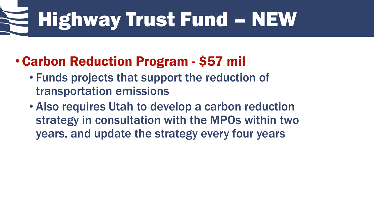# Highway Trust Fund – NEW

## •Carbon Reduction Program - \$57 mil

- Funds projects that support the reduction of transportation emissions
- Also requires Utah to develop a carbon reduction strategy in consultation with the MPOs within two years, and update the strategy every four years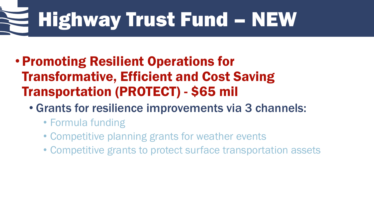# Highway Trust Fund – NEW

- •Promoting Resilient Operations for Transformative, Efficient and Cost Saving Transportation (PROTECT) - \$65 mil
	- Grants for resilience improvements via 3 channels:
		- Formula funding
		- Competitive planning grants for weather events
		- Competitive grants to protect surface transportation assets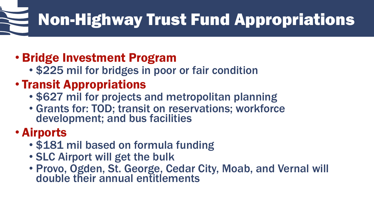## Non-Highway Trust Fund Appropriations

### • Bridge Investment Program

- \$225 mil for bridges in poor or fair condition
- Transit Appropriations
	- \$627 mil for projects and metropolitan planning
	- Grants for: TOD; transit on reservations; workforce development; and bus facilities

### • Airports

- \$181 mil based on formula funding
- SLC Airport will get the bulk
- Provo, Ogden, St. George, Cedar City, Moab, and Vernal will double their annual entitlements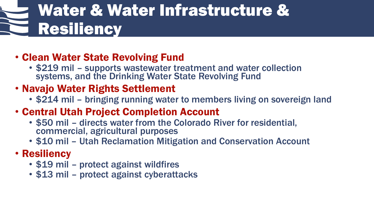## Water & Water Infrastructure & Resiliency

### • Clean Water State Revolving Fund

• \$219 mil – supports wastewater treatment and water collection systems, and the Drinking Water State Revolving Fund

### • Navajo Water Rights Settlement

- \$214 mil bringing running water to members living on sovereign land
- Central Utah Project Completion Account
	- \$50 mil directs water from the Colorado River for residential, commercial, agricultural purposes
	- \$10 mil Utah Reclamation Mitigation and Conservation Account

### • Resiliency

- \$19 mil protect against wildfires
- \$13 mil protect against cyberattacks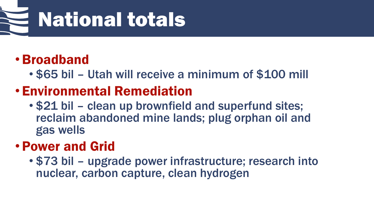# National totals

## •Broadband

• \$65 bil – Utah will receive a minimum of \$100 mill

## • Environmental Remediation

• \$21 bil – clean up brownfield and superfund sites; reclaim abandoned mine lands; plug orphan oil and gas wells

## •Power and Grid

• \$73 bil – upgrade power infrastructure; research into nuclear, carbon capture, clean hydrogen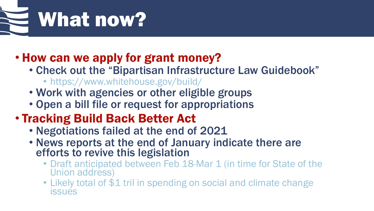

### • How can we apply for grant money?

- Check out the "Bipartisan Infrastructure Law Guidebook"
	- https://www.whitehouse.gov/build/
- Work with agencies or other eligible groups
- Open a bill file or request for appropriations

### • Tracking Build Back Better Act

- Negotiations failed at the end of 2021
- News reports at the end of January indicate there are efforts to revive this legislation
	- Draft anticipated between Feb 18-Mar 1 (in time for State of the Union address)
	- Likely total of \$1 tril in spending on social and climate change issues